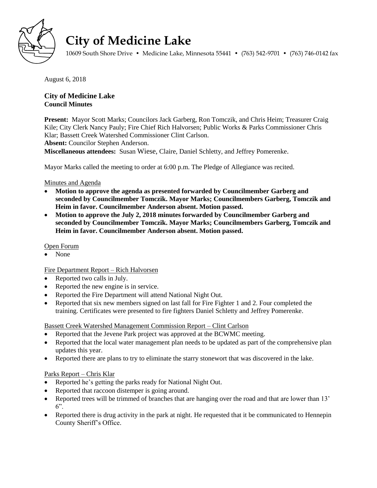

# **City of Medicine Lake**

10609 South Shore Drive • Medicine Lake, Minnesota 55441 • (763) 542-9701 • (763) 746-0142 fax

August 6, 2018

# **City of Medicine Lake Council Minutes**

**Present:** Mayor Scott Marks; Councilors Jack Garberg, Ron Tomczik, and Chris Heim; Treasurer Craig Kile; City Clerk Nancy Pauly; Fire Chief Rich Halvorsen; Public Works & Parks Commissioner Chris Klar; Bassett Creek Watershed Commissioner Clint Carlson.

**Absent:** Councilor Stephen Anderson.

**Miscellaneous attendees:** Susan Wiese, Claire, Daniel Schletty, and Jeffrey Pomerenke.

Mayor Marks called the meeting to order at 6:00 p.m. The Pledge of Allegiance was recited.

## Minutes and Agenda

- **Motion to approve the agenda as presented forwarded by Councilmember Garberg and seconded by Councilmember Tomczik. Mayor Marks; Councilmembers Garberg, Tomczik and Heim in favor. Councilmember Anderson absent. Motion passed.**
- **Motion to approve the July 2, 2018 minutes forwarded by Councilmember Garberg and seconded by Councilmember Tomczik. Mayor Marks; Councilmembers Garberg, Tomczik and Heim in favor. Councilmember Anderson absent. Motion passed.**

## Open Forum

• None

## Fire Department Report – Rich Halvorsen

- Reported two calls in July.
- Reported the new engine is in service.
- Reported the Fire Department will attend National Night Out.
- Reported that six new members signed on last fall for Fire Fighter 1 and 2. Four completed the training. Certificates were presented to fire fighters Daniel Schletty and Jeffrey Pomerenke.

## Bassett Creek Watershed Management Commission Report – Clint Carlson

- Reported that the Jevene Park project was approved at the BCWMC meeting.
- Reported that the local water management plan needs to be updated as part of the comprehensive plan updates this year.
- Reported there are plans to try to eliminate the starry stonewort that was discovered in the lake.

## Parks Report – Chris Klar

- Reported he's getting the parks ready for National Night Out.
- Reported that raccoon distemper is going around.
- Reported trees will be trimmed of branches that are hanging over the road and that are lower than 13'  $6"$ .
- Reported there is drug activity in the park at night. He requested that it be communicated to Hennepin County Sheriff's Office.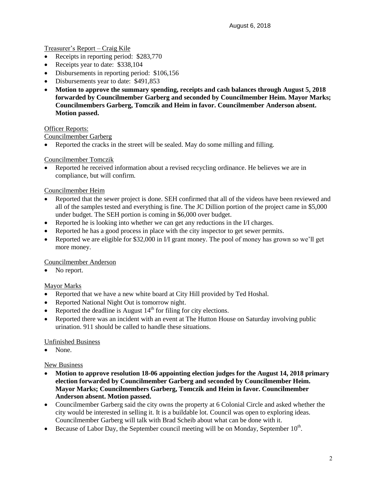## Treasurer's Report – Craig Kile

- Receipts in reporting period: \$283,770
- Receipts year to date: \$338,104
- Disbursements in reporting period: \$106,156
- Disbursements year to date: \$491,853
- **Motion to approve the summary spending, receipts and cash balances through August 5, 2018 forwarded by Councilmember Garberg and seconded by Councilmember Heim. Mayor Marks; Councilmembers Garberg, Tomczik and Heim in favor. Councilmember Anderson absent. Motion passed.**

#### **Officer Reports:**

#### Councilmember Garberg

Reported the cracks in the street will be sealed. May do some milling and filling.

## Councilmember Tomczik

 Reported he received information about a revised recycling ordinance. He believes we are in compliance, but will confirm.

#### Councilmember Heim

- Reported that the sewer project is done. SEH confirmed that all of the videos have been reviewed and all of the samples tested and everything is fine. The JC Dillion portion of the project came in \$5,000 under budget. The SEH portion is coming in \$6,000 over budget.
- Reported he is looking into whether we can get any reductions in the I/I charges.
- Reported he has a good process in place with the city inspector to get sewer permits.
- Reported we are eligible for \$32,000 in I/I grant money. The pool of money has grown so we'll get more money.

#### Councilmember Anderson

• No report.

#### Mayor Marks

- Reported that we have a new white board at City Hill provided by Ted Hoshal.
- Reported National Night Out is tomorrow night.
- Reported the deadline is August  $14<sup>th</sup>$  for filing for city elections.
- Reported there was an incident with an event at The Hutton House on Saturday involving public urination. 911 should be called to handle these situations.

#### Unfinished Business

None.

#### New Business

- **Motion to approve resolution 18-06 appointing election judges for the August 14, 2018 primary election forwarded by Councilmember Garberg and seconded by Councilmember Heim. Mayor Marks; Councilmembers Garberg, Tomczik and Heim in favor. Councilmember Anderson absent. Motion passed.**
- Councilmember Garberg said the city owns the property at 6 Colonial Circle and asked whether the city would be interested in selling it. It is a buildable lot. Council was open to exploring ideas. Councilmember Garberg will talk with Brad Scheib about what can be done with it.
- Because of Labor Day, the September council meeting will be on Monday, September  $10^{\text{th}}$ .